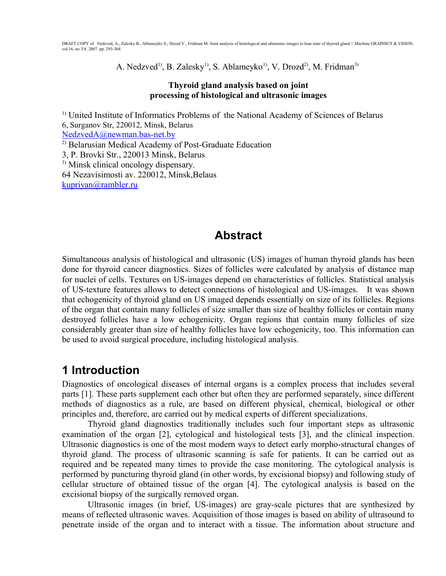A. Nedzved<sup>1)</sup>, B. Zalesky<sup>1</sup>, S. Ablameyko<sup>1</sup>, V. Drozd<sup>2</sup>, M. Fridman<sup>3)</sup>

#### **Thyroid gland analysis based on joint processing of histological and ultrasonic images**

<sup>1)</sup> United Institute of Informatics Problems of the National Academy of Sciences of Belarus 6, Surganov Str, 220012, Minsk, Belarus [NedzvedA@newman.bas-net.by](mailto:NedzvedA@newman.bas-net.by) 2) Belarusian Medical Academy of Post-Graduate Education 3, P. Brovki Str., 220013 Minsk, Belarus 3) Minsk clinical oncology dispensary. 64 Nezavisimosti av. 220012, Minsk,Belaus [kupriyan@rambler.ru](mailto:kupriyan@rambler.ru)

### **Abstract**

Simultaneous analysis of histological and ultrasonic (US) images of human thyroid glands has been done for thyroid cancer diagnostics. Sizes of follicles were calculated by analysis of distance map for nuclei of cells. Textures on US-images depend on characteristics of follicles. Statistical analysis of US-texture features allows to detect connections of histological and US-images. It was shown that echogenicity of thyroid gland on US imaged depends essentially on size of its follicles. Regions of the organ that contain many follicles of size smaller than size of healthy follicles or contain many destroyed follicles have a low echogenicity. Organ regions that contain many follicles of size considerably greater than size of healthy follicles have low echogenicity, too. This information can be used to avoid surgical procedure, including histological analysis.

## **1 Introduction**

Diagnostics of oncological diseases of internal organs is a complex process that includes several parts [1]. These parts supplement each other but often they are performed separately, since different methods of diagnostics as a rule, are based on different physical, chemical, biological or other principles and, therefore, are carried out by medical experts of different specializations.

Thyroid gland diagnostics traditionally includes such four important steps as ultrasonic examination of the organ [2], cytological and histological tests [3], and the clinical inspection. Ultrasonic diagnostics is one of the most modern ways to detect early morpho-structural changes of thyroid gland. The process of ultrasonic scanning is safe for patients. It can be carried out as required and be repeated many times to provide the case monitoring. The cytological analysis is performed by puncturing thyroid gland (in other words, by excisional biopsy) and following study of cellular structure of obtained tissue of the organ [4]. The cytological analysis is based on the excisional biopsy of the surgically removed organ.

Ultrasonic images (in brief, US-images) are gray-scale pictures that are synthesized by means of reflected ultrasonic waves. Acquisition of those images is based on ability of ultrasound to penetrate inside of the organ and to interact with a tissue. The information about structure and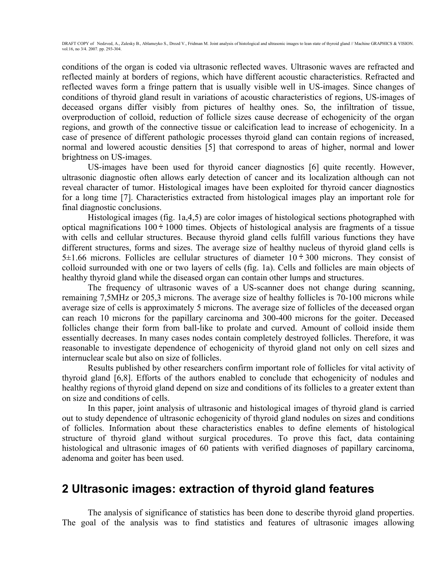conditions of the organ is coded via ultrasonic reflected waves. Ultrasonic waves are refracted and reflected mainly at borders of regions, which have different acoustic characteristics. Refracted and reflected waves form a fringe pattern that is usually visible well in US-images. Since changes of conditions of thyroid gland result in variations of acoustic characteristics of regions, US-images of deceased organs differ visibly from pictures of healthy ones. So, the infiltration of tissue, overproduction of colloid, reduction of follicle sizes cause decrease of echogenicity of the organ regions, and growth of the connective tissue or calcification lead to increase of echogenicity. In a case of presence of different pathologic processes thyroid gland can contain regions of increased, normal and lowered acoustic densities [5] that correspond to areas of higher, normal and lower brightness on US-images.

US-images have been used for thyroid cancer diagnostics [6] quite recently. However, ultrasonic diagnostic often allows early detection of cancer and its localization although can not reveal character of tumor. Histological images have been exploited for thyroid cancer diagnostics for a long time [7]. Characteristics extracted from histological images play an important role for final diagnostic conclusions.

Histological images (fig. 1a,4,5) are color images of histological sections photographed with optical magnifications  $100 \div 1000$  times. Objects of histological analysis are fragments of a tissue with cells and cellular structures. Because thyroid gland cells fulfill various functions they have different structures, forms and sizes. The average size of healthy nucleus of thyroid gland cells is  $5\pm1.66$  microns. Follicles are cellular structures of diameter  $10 \div 300$  microns. They consist of colloid surrounded with one or two layers of cells (fig. 1a). Cells and follicles are main objects of healthy thyroid gland while the diseased organ can contain other lumps and structures.

The frequency of ultrasonic waves of a US-scanner does not change during scanning, remaining 7,5MHz or 205,3 microns. The average size of healthy follicles is 70-100 microns while average size of cells is approximately 5 microns. The average size of follicles of the deceased organ can reach 10 microns for the papillary carcinoma and 300-400 microns for the goiter. Deceased follicles change their form from ball-like to prolate and curved. Amount of colloid inside them essentially decreases. In many cases nodes contain completely destroyed follicles. Therefore, it was reasonable to investigate dependence of echogenicity of thyroid gland not only on cell sizes and internuclear scale but also on size of follicles.

Results published by other researchers confirm important role of follicles for vital activity of thyroid gland [6,8]. Efforts of the authors enabled to conclude that echogenicity of nodules and healthy regions of thyroid gland depend on size and conditions of its follicles to a greater extent than on size and conditions of cells.

In this paper, joint analysis of ultrasonic and histological images of thyroid gland is carried out to study dependence of ultrasonic echogenicity of thyroid gland nodules on sizes and conditions of follicles. Information about these characteristics enables to define elements of histological structure of thyroid gland without surgical procedures. To prove this fact, data containing histological and ultrasonic images of 60 patients with verified diagnoses of papillary carcinoma, adenoma and goiter has been used.

### **2 Ultrasonic images: extraction of thyroid gland features**

The analysis of significance of statistics has been done to describe thyroid gland properties. The goal of the analysis was to find statistics and features of ultrasonic images allowing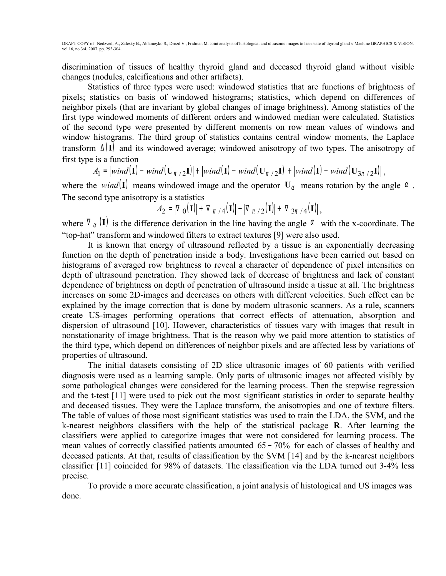discrimination of tissues of healthy thyroid gland and deceased thyroid gland without visible changes (nodules, calcifications and other artifacts).

Statistics of three types were used: windowed statistics that are functions of brightness of pixels; statistics on basis of windowed histograms; statistics, which depend on differences of neighbor pixels (that are invariant by global changes of image brightness). Among statistics of the first type windowed moments of different orders and windowed median were calculated. Statistics of the second type were presented by different moments on row mean values of windows and window histograms. The third group of statistics contains central window moments, the Laplace transform <sup>∆</sup> (**I**) and its windowed average; windowed anisotropy of two types. The anisotropy of first type is a function

 $A_{\mathbf{I}} = \left| \text{wind}(\mathbf{I}) - \text{wind}(\mathbf{U}_{\pi/2}\mathbf{I}) \right| + \left| \text{wind}(\mathbf{U}_{\pi/2}\mathbf{I}) \right| + \left| \text{wind}(\mathbf{I}) - \text{wind}(\mathbf{U}_{\pi/2}\mathbf{I}) \right|$ ,

where the *wind*(**I**) means windowed image and the operator  $U_a$  means rotation by the angle  $\alpha$ . The second type anisotropy is a statistics

$$
A_2 = |\nabla_0(\mathbf{I})| + |\nabla_{\pi/4}(\mathbf{I})| + |\nabla_{\pi/2}(\mathbf{I})| + |\nabla_{3\pi/4}(\mathbf{I})|,
$$

where  $\nabla_{\alpha}$  (**I**) is the difference derivation in the line having the angle  $\alpha$  with the x-coordinate. The "top-hat" transform and windowed filters to extract textures [9] were also used.

It is known that energy of ultrasound reflected by a tissue is an exponentially decreasing function on the depth of penetration inside a body. Investigations have been carried out based on histograms of averaged row brightness to reveal a character of dependence of pixel intensities on depth of ultrasound penetration. They showed lack of decrease of brightness and lack of constant dependence of brightness on depth of penetration of ultrasound inside a tissue at all. The brightness increases on some 2D-images and decreases on others with different velocities. Such effect can be explained by the image correction that is done by modern ultrasonic scanners. As a rule, scanners create US-images performing operations that correct effects of attenuation, absorption and dispersion of ultrasound [10]. However, characteristics of tissues vary with images that result in nonstationarity of image brightness. That is the reason why we paid more attention to statistics of the third type, which depend on differences of neighbor pixels and are affected less by variations of properties of ultrasound.

The initial datasets consisting of 2D slice ultrasonic images of 60 patients with verified diagnosis were used as a learning sample. Only parts of ultrasonic images not affected visibly by some pathological changes were considered for the learning process. Then the stepwise regression and the t-test [11] were used to pick out the most significant statistics in order to separate healthy and deceased tissues. They were the Laplace transform, the anisotropies and one of texture filters. The table of values of those most significant statistics was used to train the LDA, the SVM, and the k-nearest neighbors classifiers with the help of the statistical package **R**. After learning the classifiers were applied to categorize images that were not considered for learning process. The mean values of correctly classified patients amounted 65 − 70% for each of classes of healthy and deceased patients. At that, results of classification by the SVM [14] and by the k-nearest neighbors classifier [11] coincided for 98% of datasets. The classification via the LDA turned out 3-4% less precise.

To provide a more accurate classification, a joint analysis of histological and US images was done.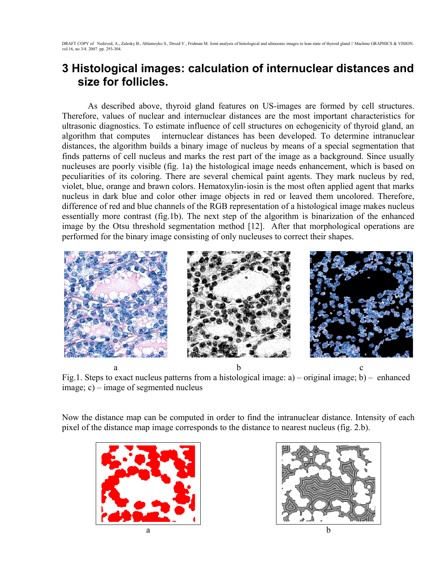### **3 Histological images: calculation of internuclear distances and size for follicles.**

As described above, thyroid gland features on US-images are formed by cell structures. Therefore, values of nuclear and internuclear distances are the most important characteristics for ultrasonic diagnostics. To estimate influence of cell structures on echogenicity of thyroid gland, an algorithm that computes internuclear distances has been developed. To determine intranuclear distances, the algorithm builds a binary image of nucleus by means of a special segmentation that finds patterns of cell nucleus and marks the rest part of the image as a background. Since usually nucleuses are poorly visible (fig. 1a) the histological image needs enhancement, which is based on peculiarities of its coloring. There are several chemical paint agents. They mark nucleus by red, violet, blue, orange and brawn colors. Hematoxylin-iosin is the most often applied agent that marks nucleus in dark blue and color other image objects in red or leaved them uncolored. Therefore, difference of red and blue channels of the RGB representation of a histological image makes nucleus essentially more contrast (fig.1b). The next step of the algorithm is binarization of the enhanced image by the Otsu threshold segmentation method [12]. After that morphological operations are performed for the binary image consisting of only nucleuses to correct their shapes.



a b c Fig.1. Steps to exact nucleus patterns from a histological image: a) – original image; b) – enhanced image; c) – image of segmented nucleus

Now the distance map can be computed in order to find the intranuclear distance. Intensity of each pixel of the distance map image corresponds to the distance to nearest nucleus (fig. 2.b).



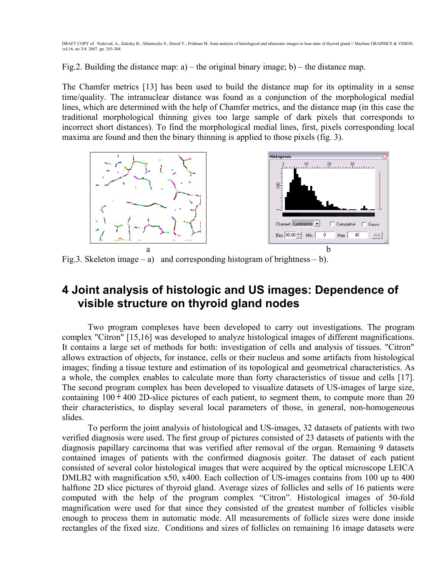Fig.2. Building the distance map:  $a$ ) – the original binary image; b) – the distance map.

The Chamfer metrics [13] has been used to build the distance map for its optimality in a sense time/quality. The intranuclear distance was found as a conjunction of the morphological medial lines, which are determined with the help of Chamfer metrics, and the distance map (in this case the traditional morphological thinning gives too large sample of dark pixels that corresponds to incorrect short distances). To find the morphological medial lines, first, pixels corresponding local maxima are found and then the binary thinning is applied to those pixels (fig. 3).

 $10$  20 30

Cumulative

Max I

 $\overline{0}$ 

 $\overline{40}$ 

Gauss

 $\gg$ 



Fig.3. Skeleton image – a) and corresponding histogram of brightness – b).

#### **4 Joint analysis of histologic and US images: Dependence of visible structure on thyroid gland nodes**

Two program complexes have been developed to carry out investigations. The program complex "Citron" [15,16] was developed to analyze histological images of different magnifications. It contains a large set of methods for both: investigation of cells and analysis of tissues. "Citron" allows extraction of objects, for instance, cells or their nucleus and some artifacts from histological images; finding a tissue texture and estimation of its topological and geometrical characteristics. As a whole, the complex enables to calculate more than forty characteristics of tissue and cells [17]. The second program complex has been developed to visualize datasets of US-images of large size, containing  $100 \div 400$  2D-slice pictures of each patient, to segment them, to compute more than 20 their characteristics, to display several local parameters of those, in general, non-homogeneous slides.

To perform the joint analysis of histological and US-images, 32 datasets of patients with two verified diagnosis were used. The first group of pictures consisted of 23 datasets of patients with the diagnosis papillary carcinoma that was verified after removal of the organ. Remaining 9 datasets contained images of patients with the confirmed diagnosis goiter. The dataset of each patient consisted of several color histological images that were acquired by the optical microscope LEICA DMLB2 with magnification x50, x400. Each collection of US-images contains from 100 up to 400 halftone 2D slice pictures of thyroid gland. Average sizes of follicles and sells of 16 patients were computed with the help of the program complex "Citron". Histological images of 50-fold magnification were used for that since they consisted of the greatest number of follicles visible enough to process them in automatic mode. All measurements of follicle sizes were done inside rectangles of the fixed size. Conditions and sizes of follicles on remaining 16 image datasets were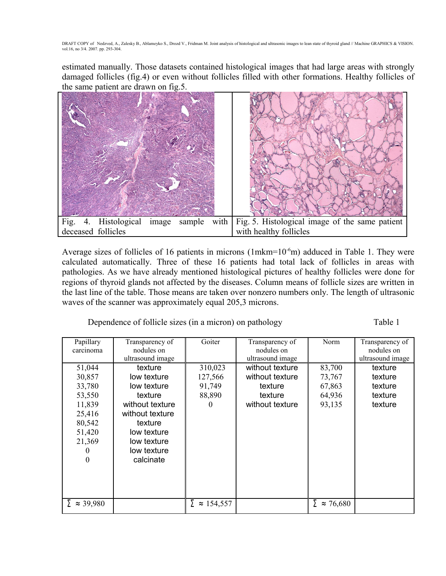estimated manually. Those datasets contained histological images that had large areas with strongly damaged follicles (fig.4) or even without follicles filled with other formations. Healthy follicles of the same patient are drawn on fig.5.



Average sizes of follicles of 16 patients in microns (1mkm= $10<sup>-6</sup>m$ ) adduced in Table 1. They were calculated automatically. Three of these 16 patients had total lack of follicles in areas with pathologies. As we have already mentioned histological pictures of healthy follicles were done for regions of thyroid glands not affected by the diseases. Column means of follicle sizes are written in the last line of the table. Those means are taken over nonzero numbers only. The length of ultrasonic waves of the scanner was approximately equal 205,3 microns.

Dependence of follicle sizes (in a micron) on pathology Table 1

| Papillary<br>carcinoma  | Transparency of<br>nodules on | Goiter            | Transparency of<br>nodules on | Norm                     | Transparency of<br>nodules on |
|-------------------------|-------------------------------|-------------------|-------------------------------|--------------------------|-------------------------------|
|                         | ultrasound image              |                   | ultrasound image              |                          | ultrasound image              |
| 51,044                  | texture                       | 310,023           | without texture               | 83,700                   | texture                       |
| 30,857                  | low texture                   | 127,566           | without texture               | 73,767                   | texture                       |
| 33,780                  | low texture                   | 91,749            | texture                       | 67,863                   | texture                       |
| 53,550                  | texture                       | 88,890            | texture                       | 64,936                   | texture                       |
| 11,839                  | without texture               | $\theta$          | without texture               | 93,135                   | texture                       |
| 25,416                  | without texture               |                   |                               |                          |                               |
| 80,542                  | texture                       |                   |                               |                          |                               |
| 51,420                  | low texture                   |                   |                               |                          |                               |
| 21,369                  | low texture                   |                   |                               |                          |                               |
| 0                       | low texture                   |                   |                               |                          |                               |
| $\Omega$                | calcinate                     |                   |                               |                          |                               |
|                         |                               |                   |                               |                          |                               |
|                         |                               |                   |                               |                          |                               |
|                         |                               |                   |                               |                          |                               |
|                         |                               |                   |                               |                          |                               |
| $\Sigma \approx 39,980$ |                               | $\approx 154,557$ |                               | Σ<br>76,680<br>$\approx$ |                               |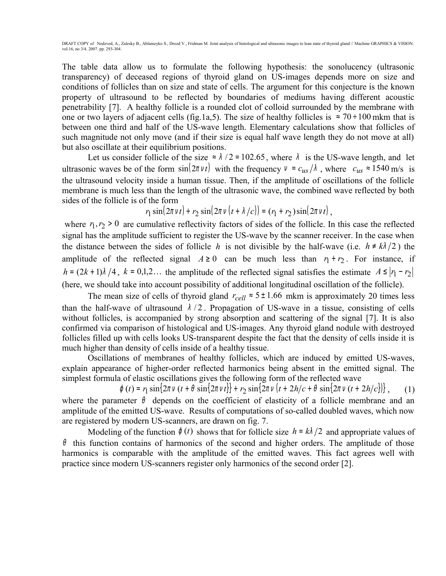The table data allow us to formulate the following hypothesis: the sonolucency (ultrasonic transparency) of deceased regions of thyroid gland on US-images depends more on size and conditions of follicles than on size and state of cells. The argument for this conjecture is the known property of ultrasound to be reflected by boundaries of mediums having different acoustic penetrability [7]. A healthy follicle is a rounded clot of colloid surrounded by the membrane with one or two layers of adjacent cells (fig.1a,5). The size of healthy follicles is  $\approx 70 \div 100$  mkm that is between one third and half of the US-wave length. Elementary calculations show that follicles of such magnitude not only move (and if their size is equal half wave length they do not move at all) but also oscillate at their equilibrium positions.

Let us consider follicle of the size  $\approx \lambda/2 = 102.65$ , where  $\lambda$  is the US-wave length, and let ultrasonic waves be of the form  $sin(2\pi vt)$  with the frequency  $v = c_{us}/\lambda$ , where  $c_{us} \approx 1540$  m/s is the ultrasound velocity inside a human tissue. Then, if the amplitude of oscillations of the follicle membrane is much less than the length of the ultrasonic wave, the combined wave reflected by both sides of the follicle is of the form

$$
r_1 \sin(2\pi v t) + r_2 \sin(2\pi v (t + \lambda/c)) = (r_1 + r_2) \sin(2\pi v t),
$$

where  $r_1, r_2 > 0$  are cumulative reflectivity factors of sides of the follicle. In this case the reflected signal has the amplitude sufficient to register the US-wave by the scanner receiver. In the case when the distance between the sides of follicle *h* is not divisible by the half-wave (i.e.  $h \neq k\lambda/2$ ) the amplitude of the reflected signal  $A \ge 0$  can be much less than  $r_1 + r_2$ . For instance, if *h* =  $(2k+1)\lambda/4$ ,  $k = 0,1,2...$  the amplitude of the reflected signal satisfies the estimate  $A \le |r_1 - r_2|$ (here, we should take into account possibility of additional longitudinal oscillation of the follicle).

The mean size of cells of thyroid gland  $r_{cell} \approx 5 \pm 1.66$  mkm is approximately 20 times less than the half-wave of ultrasound  $\lambda/2$ . Propagation of US-wave in a tissue, consisting of cells without follicles, is accompanied by strong absorption and scattering of the signal [7]. It is also confirmed via comparison of histological and US-images. Any thyroid gland nodule with destroyed follicles filled up with cells looks US-transparent despite the fact that the density of cells inside it is much higher than density of cells inside of a healthy tissue.

Oscillations of membranes of healthy follicles, which are induced by emitted US-waves, explain appearance of higher-order reflected harmonics being absent in the emitted signal. The simplest formula of elastic oscillations gives the following form of the reflected wave

 $\varphi(t) = r_1 \sin\{2\pi v (t + \theta \sin\{2\pi v t\} + r_2 \sin\{2\pi v (t + 2h/c + \theta \sin\{2\pi v (t + 2h/c\})\}\right],$  (1) where the parameter  $\theta$  depends on the coefficient of elasticity of a follicle membrane and an amplitude of the emitted US-wave. Results of computations of so-called doubled waves, which now are registered by modern US-scanners, are drawn on fig. 7.

Modeling of the function  $\varphi(t)$  shows that for follicle size  $h = k\lambda/2$  and appropriate values of  $\theta$  this function contains of harmonics of the second and higher orders. The amplitude of those harmonics is comparable with the amplitude of the emitted waves. This fact agrees well with practice since modern US-scanners register only harmonics of the second order [2].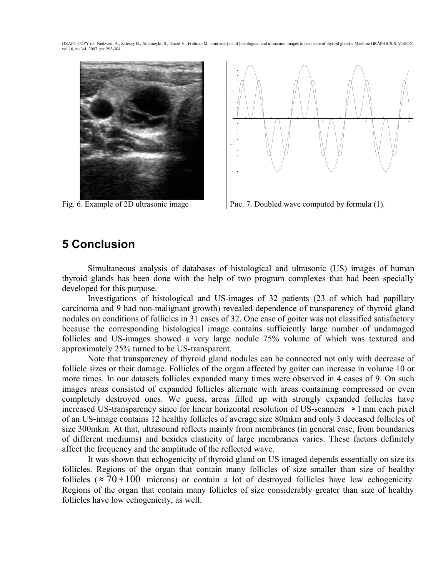



Fig. 6. Example of 2D ultrasonic image Рис. 7. Doubled wave computed by formula (1).

#### **5 Conclusion**

Simultaneous analysis of databases of histological and ultrasonic (US) images of human thyroid glands has been done with the help of two program complexes that had been specially developed for this purpose.

Investigations of histological and US-images of 32 patients (23 of which had papillary carcinoma and 9 had non-malignant growth) revealed dependence of transparency of thyroid gland nodules on conditions of follicles in 31 cases of 32. One case of goiter was not classified satisfactory because the corresponding histological image contains sufficiently large number of undamaged follicles and US-images showed a very large nodule 75% volume of which was textured and approximately 25% turned to be US-transparent.

Note that transparency of thyroid gland nodules can be connected not only with decrease of follicle sizes or their damage. Follicles of the organ affected by goiter can increase in volume 10 or more times. In our datasets follicles expanded many times were observed in 4 cases of 9. On such images areas consisted of expanded follicles alternate with areas containing compressed or even completely destroyed ones. We guess, areas filled up with strongly expanded follicles have increased US-transparency since for linear horizontal resolution of US-scanners <sup>≈</sup> 1mm each pixel of an US-image contains 12 healthy follicles of average size 80mkm and only 3 deceased follicles of size 300mkm. At that, ultrasound reflects mainly from membranes (in general case, from boundaries of different mediums) and besides elasticity of large membranes varies. These factors definitely affect the frequency and the amplitude of the reflected wave.

It was shown that echogenicity of thyroid gland on US imaged depends essentially on size its follicles. Regions of the organ that contain many follicles of size smaller than size of healthy follicles ( $\approx$  70 ÷ 100 microns) or contain a lot of destroyed follicles have low echogenicity. Regions of the organ that contain many follicles of size considerably greater than size of healthy follicles have low echogenicity, as well.